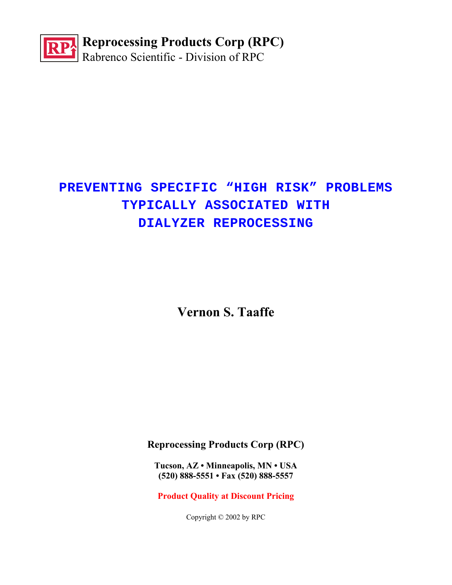

# **PREVENTING SPECIFIC "HIGH RISK" PROBLEMS TYPICALLY ASSOCIATED WITH DIALYZER REPROCESSING**

**Vernon S. Taaffe**

**Reprocessing Products Corp (RPC)**

**Tucson, AZ • Minneapolis, MN • USA (520) 888-5551 • Fax (520) 888-5557** 

**Product Quality at Discount Pricing**

Copyright © 2002 by RPC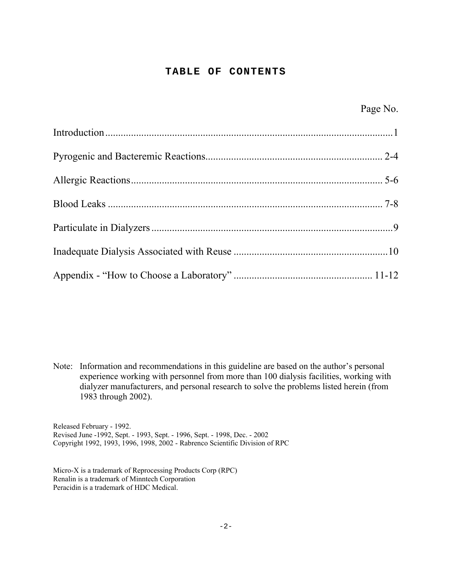#### **TABLE OF CONTENTS**

Note: Information and recommendations in this guideline are based on the author's personal experience working with personnel from more than 100 dialysis facilities, working with dialyzer manufacturers, and personal research to solve the problems listed herein (from 1983 through 2002).

Released February - 1992. Revised June -1992, Sept. - 1993, Sept. - 1996, Sept. - 1998, Dec. - 2002 Copyright 1992, 1993, 1996, 1998, 2002 - Rabrenco Scientific Division of RPC

Micro-X is a trademark of Reprocessing Products Corp (RPC) Renalin is a trademark of Minntech Corporation Peracidin is a trademark of HDC Medical.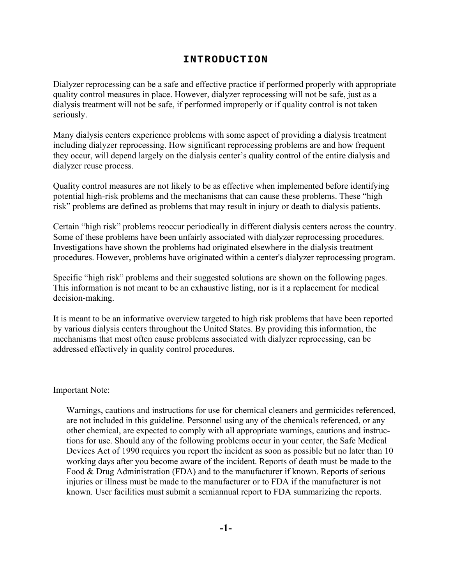# **INTRODUCTION**

Dialyzer reprocessing can be a safe and effective practice if performed properly with appropriate quality control measures in place. However, dialyzer reprocessing will not be safe, just as a dialysis treatment will not be safe, if performed improperly or if quality control is not taken seriously.

Many dialysis centers experience problems with some aspect of providing a dialysis treatment including dialyzer reprocessing. How significant reprocessing problems are and how frequent they occur, will depend largely on the dialysis center's quality control of the entire dialysis and dialyzer reuse process.

Quality control measures are not likely to be as effective when implemented before identifying potential high-risk problems and the mechanisms that can cause these problems. These "high risk" problems are defined as problems that may result in injury or death to dialysis patients.

Certain "high risk" problems reoccur periodically in different dialysis centers across the country. Some of these problems have been unfairly associated with dialyzer reprocessing procedures. Investigations have shown the problems had originated elsewhere in the dialysis treatment procedures. However, problems have originated within a center's dialyzer reprocessing program.

Specific "high risk" problems and their suggested solutions are shown on the following pages. This information is not meant to be an exhaustive listing, nor is it a replacement for medical decision-making.

It is meant to be an informative overview targeted to high risk problems that have been reported by various dialysis centers throughout the United States. By providing this information, the mechanisms that most often cause problems associated with dialyzer reprocessing, can be addressed effectively in quality control procedures.

Important Note:

Warnings, cautions and instructions for use for chemical cleaners and germicides referenced, are not included in this guideline. Personnel using any of the chemicals referenced, or any other chemical, are expected to comply with all appropriate warnings, cautions and instructions for use. Should any of the following problems occur in your center, the Safe Medical Devices Act of 1990 requires you report the incident as soon as possible but no later than 10 working days after you become aware of the incident. Reports of death must be made to the Food & Drug Administration (FDA) and to the manufacturer if known. Reports of serious injuries or illness must be made to the manufacturer or to FDA if the manufacturer is not known. User facilities must submit a semiannual report to FDA summarizing the reports.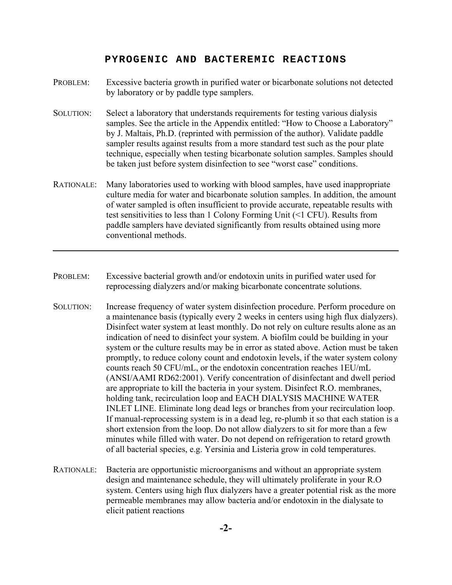#### **PYROGENIC AND BACTEREMIC REACTIONS**

- PROBLEM: Excessive bacteria growth in purified water or bicarbonate solutions not detected by laboratory or by paddle type samplers.
- SOLUTION: Select a laboratory that understands requirements for testing various dialysis samples. See the article in the Appendix entitled: "How to Choose a Laboratory" by J. Maltais, Ph.D. (reprinted with permission of the author). Validate paddle sampler results against results from a more standard test such as the pour plate technique, especially when testing bicarbonate solution samples. Samples should be taken just before system disinfection to see "worst case" conditions.
- RATIONALE: Many laboratories used to working with blood samples, have used inappropriate culture media for water and bicarbonate solution samples. In addition, the amount of water sampled is often insufficient to provide accurate, repeatable results with test sensitivities to less than 1 Colony Forming Unit (<1 CFU). Results from paddle samplers have deviated significantly from results obtained using more conventional methods.
- PROBLEM: Excessive bacterial growth and/or endotoxin units in purified water used for reprocessing dialyzers and/or making bicarbonate concentrate solutions.
- SOLUTION: Increase frequency of water system disinfection procedure. Perform procedure on a maintenance basis (typically every 2 weeks in centers using high flux dialyzers). Disinfect water system at least monthly. Do not rely on culture results alone as an indication of need to disinfect your system. A biofilm could be building in your system or the culture results may be in error as stated above. Action must be taken promptly, to reduce colony count and endotoxin levels, if the water system colony counts reach 50 CFU/mL, or the endotoxin concentration reaches 1EU/mL (ANSI/AAMI RD62:2001). Verify concentration of disinfectant and dwell period are appropriate to kill the bacteria in your system. Disinfect R.O. membranes, holding tank, recirculation loop and EACH DIALYSIS MACHINE WATER INLET LINE. Eliminate long dead legs or branches from your recirculation loop. If manual-reprocessing system is in a dead leg, re-plumb it so that each station is a short extension from the loop. Do not allow dialyzers to sit for more than a few minutes while filled with water. Do not depend on refrigeration to retard growth of all bacterial species, e.g. Yersinia and Listeria grow in cold temperatures.
- RATIONALE: Bacteria are opportunistic microorganisms and without an appropriate system design and maintenance schedule, they will ultimately proliferate in your R.O system. Centers using high flux dialyzers have a greater potential risk as the more permeable membranes may allow bacteria and/or endotoxin in the dialysate to elicit patient reactions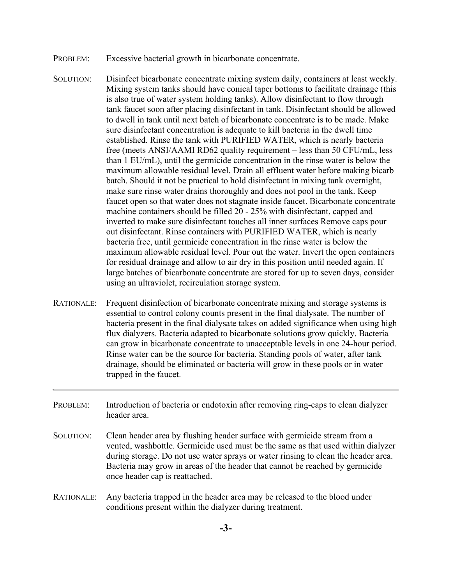- PROBLEM: Excessive bacterial growth in bicarbonate concentrate.
- SOLUTION: Disinfect bicarbonate concentrate mixing system daily, containers at least weekly. Mixing system tanks should have conical taper bottoms to facilitate drainage (this is also true of water system holding tanks). Allow disinfectant to flow through tank faucet soon after placing disinfectant in tank. Disinfectant should be allowed to dwell in tank until next batch of bicarbonate concentrate is to be made. Make sure disinfectant concentration is adequate to kill bacteria in the dwell time established. Rinse the tank with PURIFIED WATER, which is nearly bacteria free (meets ANSI/AAMI RD62 quality requirement – less than 50 CFU/mL, less than 1 EU/mL), until the germicide concentration in the rinse water is below the maximum allowable residual level. Drain all effluent water before making bicarb batch. Should it not be practical to hold disinfectant in mixing tank overnight, make sure rinse water drains thoroughly and does not pool in the tank. Keep faucet open so that water does not stagnate inside faucet. Bicarbonate concentrate machine containers should be filled 20 - 25% with disinfectant, capped and inverted to make sure disinfectant touches all inner surfaces Remove caps pour out disinfectant. Rinse containers with PURIFIED WATER, which is nearly bacteria free, until germicide concentration in the rinse water is below the maximum allowable residual level. Pour out the water. Invert the open containers for residual drainage and allow to air dry in this position until needed again. If large batches of bicarbonate concentrate are stored for up to seven days, consider using an ultraviolet, recirculation storage system.
- RATIONALE: Frequent disinfection of bicarbonate concentrate mixing and storage systems is essential to control colony counts present in the final dialysate. The number of bacteria present in the final dialysate takes on added significance when using high flux dialyzers. Bacteria adapted to bicarbonate solutions grow quickly. Bacteria can grow in bicarbonate concentrate to unacceptable levels in one 24-hour period. Rinse water can be the source for bacteria. Standing pools of water, after tank drainage, should be eliminated or bacteria will grow in these pools or in water trapped in the faucet.
- PROBLEM: Introduction of bacteria or endotoxin after removing ring-caps to clean dialyzer header area.
- SOLUTION: Clean header area by flushing header surface with germicide stream from a vented, washbottle. Germicide used must be the same as that used within dialyzer during storage. Do not use water sprays or water rinsing to clean the header area. Bacteria may grow in areas of the header that cannot be reached by germicide once header cap is reattached.
- RATIONALE: Any bacteria trapped in the header area may be released to the blood under conditions present within the dialyzer during treatment.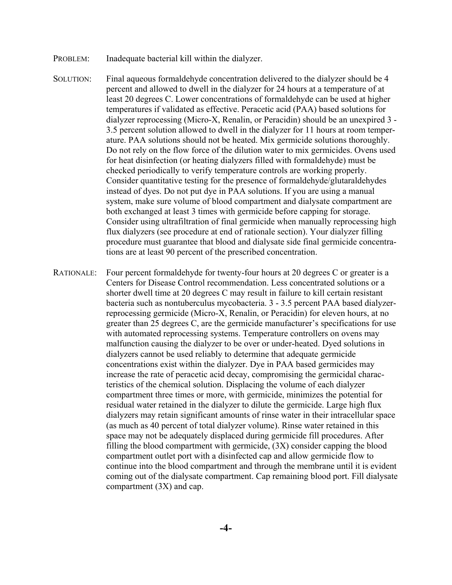- PROBLEM: Inadequate bacterial kill within the dialyzer.
- SOLUTION: Final aqueous formaldehyde concentration delivered to the dialyzer should be 4 percent and allowed to dwell in the dialyzer for 24 hours at a temperature of at least 20 degrees C. Lower concentrations of formaldehyde can be used at higher temperatures if validated as effective. Peracetic acid (PAA) based solutions for dialyzer reprocessing (Micro-X, Renalin, or Peracidin) should be an unexpired 3 - 3.5 percent solution allowed to dwell in the dialyzer for 11 hours at room temperature. PAA solutions should not be heated. Mix germicide solutions thoroughly. Do not rely on the flow force of the dilution water to mix germicides. Ovens used for heat disinfection (or heating dialyzers filled with formaldehyde) must be checked periodically to verify temperature controls are working properly. Consider quantitative testing for the presence of formaldehyde/glutaraldehydes instead of dyes. Do not put dye in PAA solutions. If you are using a manual system, make sure volume of blood compartment and dialysate compartment are both exchanged at least 3 times with germicide before capping for storage. Consider using ultrafiltration of final germicide when manually reprocessing high flux dialyzers (see procedure at end of rationale section). Your dialyzer filling procedure must guarantee that blood and dialysate side final germicide concentrations are at least 90 percent of the prescribed concentration.
- RATIONALE: Four percent formaldehyde for twenty-four hours at 20 degrees C or greater is a Centers for Disease Control recommendation. Less concentrated solutions or a shorter dwell time at 20 degrees C may result in failure to kill certain resistant bacteria such as nontuberculus mycobacteria. 3 - 3.5 percent PAA based dialyzerreprocessing germicide (Micro-X, Renalin, or Peracidin) for eleven hours, at no greater than 25 degrees C, are the germicide manufacturer's specifications for use with automated reprocessing systems. Temperature controllers on ovens may malfunction causing the dialyzer to be over or under-heated. Dyed solutions in dialyzers cannot be used reliably to determine that adequate germicide concentrations exist within the dialyzer. Dye in PAA based germicides may increase the rate of peracetic acid decay, compromising the germicidal characteristics of the chemical solution. Displacing the volume of each dialyzer compartment three times or more, with germicide, minimizes the potential for residual water retained in the dialyzer to dilute the germicide. Large high flux dialyzers may retain significant amounts of rinse water in their intracellular space (as much as 40 percent of total dialyzer volume). Rinse water retained in this space may not be adequately displaced during germicide fill procedures. After filling the blood compartment with germicide, (3X) consider capping the blood compartment outlet port with a disinfected cap and allow germicide flow to continue into the blood compartment and through the membrane until it is evident coming out of the dialysate compartment. Cap remaining blood port. Fill dialysate compartment (3X) and cap.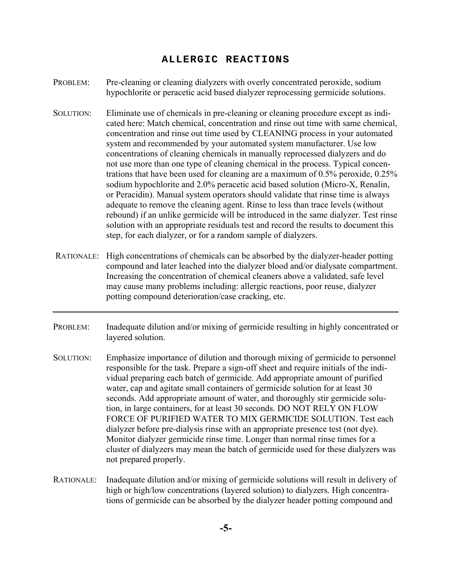#### **ALLERGIC REACTIONS**

- PROBLEM: Pre-cleaning or cleaning dialyzers with overly concentrated peroxide, sodium hypochlorite or peracetic acid based dialyzer reprocessing germicide solutions.
- SOLUTION: Eliminate use of chemicals in pre-cleaning or cleaning procedure except as indicated here: Match chemical, concentration and rinse out time with same chemical, concentration and rinse out time used by CLEANING process in your automated system and recommended by your automated system manufacturer. Use low concentrations of cleaning chemicals in manually reprocessed dialyzers and do not use more than one type of cleaning chemical in the process. Typical concentrations that have been used for cleaning are a maximum of 0.5% peroxide, 0.25% sodium hypochlorite and 2.0% peracetic acid based solution (Micro-X, Renalin, or Peracidin). Manual system operators should validate that rinse time is always adequate to remove the cleaning agent. Rinse to less than trace levels (without rebound) if an unlike germicide will be introduced in the same dialyzer. Test rinse solution with an appropriate residuals test and record the results to document this step, for each dialyzer, or for a random sample of dialyzers.
- RATIONALE: High concentrations of chemicals can be absorbed by the dialyzer-header potting compound and later leached into the dialyzer blood and/or dialysate compartment. Increasing the concentration of chemical cleaners above a validated, safe level may cause many problems including: allergic reactions, poor reuse, dialyzer potting compound deterioration/case cracking, etc.
- PROBLEM: Inadequate dilution and/or mixing of germicide resulting in highly concentrated or layered solution.
- SOLUTION: Emphasize importance of dilution and thorough mixing of germicide to personnel responsible for the task. Prepare a sign-off sheet and require initials of the individual preparing each batch of germicide. Add appropriate amount of purified water, cap and agitate small containers of germicide solution for at least 30 seconds. Add appropriate amount of water, and thoroughly stir germicide solution, in large containers, for at least 30 seconds. DO NOT RELY ON FLOW FORCE OF PURIFIED WATER TO MIX GERMICIDE SOLUTION. Test each dialyzer before pre-dialysis rinse with an appropriate presence test (not dye). Monitor dialyzer germicide rinse time. Longer than normal rinse times for a cluster of dialyzers may mean the batch of germicide used for these dialyzers was not prepared properly.
- RATIONALE: Inadequate dilution and/or mixing of germicide solutions will result in delivery of high or high/low concentrations (layered solution) to dialyzers. High concentrations of germicide can be absorbed by the dialyzer header potting compound and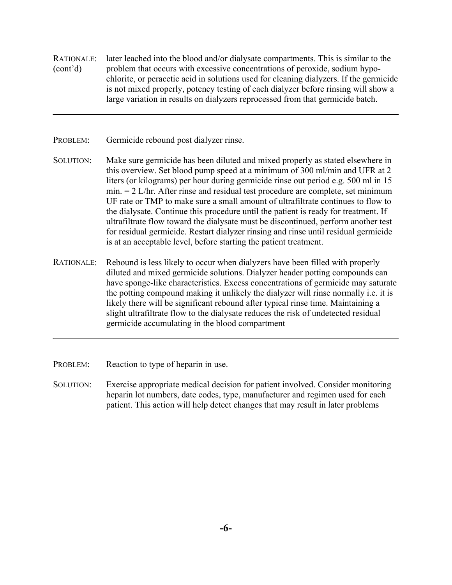- RATIONALE: later leached into the blood and/or dialysate compartments. This is similar to the (cont'd) problem that occurs with excessive concentrations of peroxide, sodium hypochlorite, or peracetic acid in solutions used for cleaning dialyzers. If the germicide is not mixed properly, potency testing of each dialyzer before rinsing will show a large variation in results on dialyzers reprocessed from that germicide batch.
- PROBLEM: Germicide rebound post dialyzer rinse.
- SOLUTION: Make sure germicide has been diluted and mixed properly as stated elsewhere in this overview. Set blood pump speed at a minimum of 300 ml/min and UFR at 2 liters (or kilograms) per hour during germicide rinse out period e.g. 500 ml in 15 min. = 2 L/hr. After rinse and residual test procedure are complete, set minimum UF rate or TMP to make sure a small amount of ultrafiltrate continues to flow to the dialysate. Continue this procedure until the patient is ready for treatment. If ultrafiltrate flow toward the dialysate must be discontinued, perform another test for residual germicide. Restart dialyzer rinsing and rinse until residual germicide is at an acceptable level, before starting the patient treatment.
- RATIONALE: Rebound is less likely to occur when dialyzers have been filled with properly diluted and mixed germicide solutions. Dialyzer header potting compounds can have sponge-like characteristics. Excess concentrations of germicide may saturate the potting compound making it unlikely the dialyzer will rinse normally i.e. it is likely there will be significant rebound after typical rinse time. Maintaining a slight ultrafiltrate flow to the dialysate reduces the risk of undetected residual germicide accumulating in the blood compartment
- PROBLEM: Reaction to type of heparin in use.
- SOLUTION: Exercise appropriate medical decision for patient involved. Consider monitoring heparin lot numbers, date codes, type, manufacturer and regimen used for each patient. This action will help detect changes that may result in later problems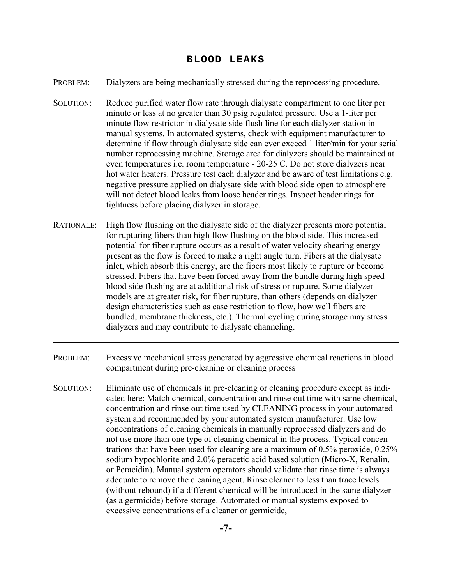#### **BLOOD LEAKS**

- PROBLEM: Dialyzers are being mechanically stressed during the reprocessing procedure.
- SOLUTION: Reduce purified water flow rate through dialysate compartment to one liter per minute or less at no greater than 30 psig regulated pressure. Use a 1-liter per minute flow restrictor in dialysate side flush line for each dialyzer station in manual systems. In automated systems, check with equipment manufacturer to determine if flow through dialysate side can ever exceed 1 liter/min for your serial number reprocessing machine. Storage area for dialyzers should be maintained at even temperatures i.e. room temperature - 20-25 C. Do not store dialyzers near hot water heaters. Pressure test each dialyzer and be aware of test limitations e.g. negative pressure applied on dialysate side with blood side open to atmosphere will not detect blood leaks from loose header rings. Inspect header rings for tightness before placing dialyzer in storage.
- RATIONALE: High flow flushing on the dialysate side of the dialyzer presents more potential for rupturing fibers than high flow flushing on the blood side. This increased potential for fiber rupture occurs as a result of water velocity shearing energy present as the flow is forced to make a right angle turn. Fibers at the dialysate inlet, which absorb this energy, are the fibers most likely to rupture or become stressed. Fibers that have been forced away from the bundle during high speed blood side flushing are at additional risk of stress or rupture. Some dialyzer models are at greater risk, for fiber rupture, than others (depends on dialyzer design characteristics such as case restriction to flow, how well fibers are bundled, membrane thickness, etc.). Thermal cycling during storage may stress dialyzers and may contribute to dialysate channeling.
- PROBLEM: Excessive mechanical stress generated by aggressive chemical reactions in blood compartment during pre-cleaning or cleaning process
- SOLUTION: Eliminate use of chemicals in pre-cleaning or cleaning procedure except as indicated here: Match chemical, concentration and rinse out time with same chemical, concentration and rinse out time used by CLEANING process in your automated system and recommended by your automated system manufacturer. Use low concentrations of cleaning chemicals in manually reprocessed dialyzers and do not use more than one type of cleaning chemical in the process. Typical concentrations that have been used for cleaning are a maximum of 0.5% peroxide, 0.25% sodium hypochlorite and 2.0% peracetic acid based solution (Micro-X, Renalin, or Peracidin). Manual system operators should validate that rinse time is always adequate to remove the cleaning agent. Rinse cleaner to less than trace levels (without rebound) if a different chemical will be introduced in the same dialyzer (as a germicide) before storage. Automated or manual systems exposed to excessive concentrations of a cleaner or germicide,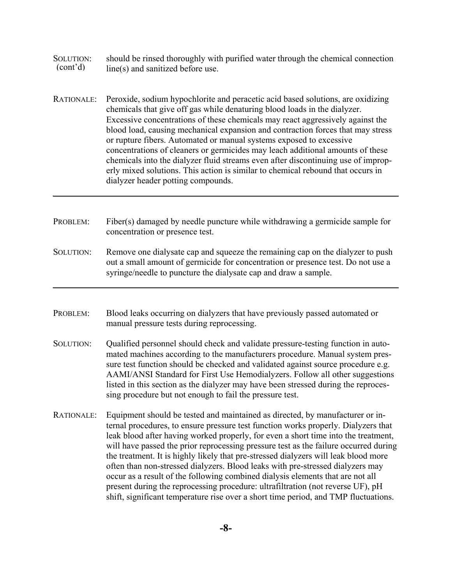- SOLUTION: should be rinsed thoroughly with purified water through the chemical connection  $(cont'd)$  line(s) and sanitized before use  $line(s)$  and sanitized before use.
- RATIONALE: Peroxide, sodium hypochlorite and peracetic acid based solutions, are oxidizing chemicals that give off gas while denaturing blood loads in the dialyzer. Excessive concentrations of these chemicals may react aggressively against the blood load, causing mechanical expansion and contraction forces that may stress or rupture fibers. Automated or manual systems exposed to excessive concentrations of cleaners or germicides may leach additional amounts of these chemicals into the dialyzer fluid streams even after discontinuing use of improperly mixed solutions. This action is similar to chemical rebound that occurs in dialyzer header potting compounds.
- PROBLEM: Fiber(s) damaged by needle puncture while withdrawing a germicide sample for concentration or presence test.
- SOLUTION: Remove one dialysate cap and squeeze the remaining cap on the dialyzer to push out a small amount of germicide for concentration or presence test. Do not use a syringe/needle to puncture the dialysate cap and draw a sample.
- PROBLEM: Blood leaks occurring on dialyzers that have previously passed automated or manual pressure tests during reprocessing.
- SOLUTION: Qualified personnel should check and validate pressure-testing function in automated machines according to the manufacturers procedure. Manual system pressure test function should be checked and validated against source procedure e.g. AAMI/ANSI Standard for First Use Hemodialyzers. Follow all other suggestions listed in this section as the dialyzer may have been stressed during the reprocessing procedure but not enough to fail the pressure test.
- RATIONALE: Equipment should be tested and maintained as directed, by manufacturer or internal procedures, to ensure pressure test function works properly. Dialyzers that leak blood after having worked properly, for even a short time into the treatment, will have passed the prior reprocessing pressure test as the failure occurred during the treatment. It is highly likely that pre-stressed dialyzers will leak blood more often than non-stressed dialyzers. Blood leaks with pre-stressed dialyzers may occur as a result of the following combined dialysis elements that are not all present during the reprocessing procedure: ultrafiltration (not reverse UF), pH shift, significant temperature rise over a short time period, and TMP fluctuations.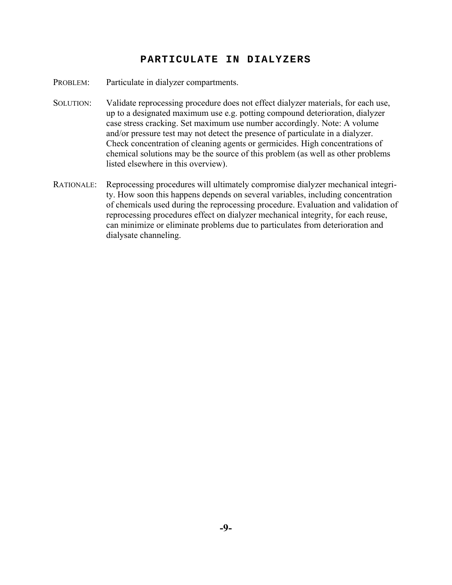#### **PARTICULATE IN DIALYZERS**

- PROBLEM: Particulate in dialyzer compartments.
- SOLUTION: Validate reprocessing procedure does not effect dialyzer materials, for each use, up to a designated maximum use e.g. potting compound deterioration, dialyzer case stress cracking. Set maximum use number accordingly. Note: A volume and/or pressure test may not detect the presence of particulate in a dialyzer. Check concentration of cleaning agents or germicides. High concentrations of chemical solutions may be the source of this problem (as well as other problems listed elsewhere in this overview).
- RATIONALE: Reprocessing procedures will ultimately compromise dialyzer mechanical integrity. How soon this happens depends on several variables, including concentration of chemicals used during the reprocessing procedure. Evaluation and validation of reprocessing procedures effect on dialyzer mechanical integrity, for each reuse, can minimize or eliminate problems due to particulates from deterioration and dialysate channeling.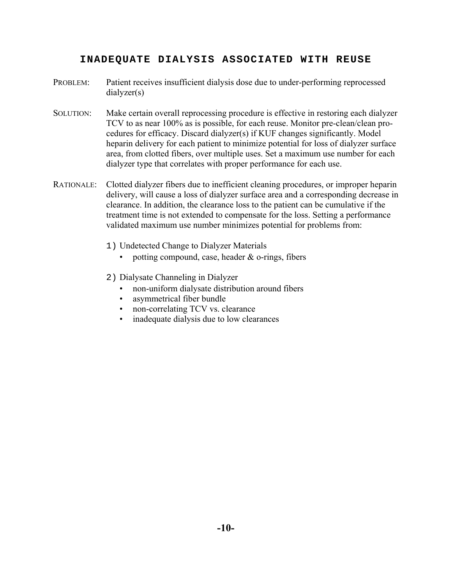# **INADEQUATE DIALYSIS ASSOCIATED WITH REUSE**

- PROBLEM: Patient receives insufficient dialysis dose due to under-performing reprocessed dialyzer(s)
- SOLUTION: Make certain overall reprocessing procedure is effective in restoring each dialyzer TCV to as near 100% as is possible, for each reuse. Monitor pre-clean/clean procedures for efficacy. Discard dialyzer(s) if KUF changes significantly. Model heparin delivery for each patient to minimize potential for loss of dialyzer surface area, from clotted fibers, over multiple uses. Set a maximum use number for each dialyzer type that correlates with proper performance for each use.
- RATIONALE: Clotted dialyzer fibers due to inefficient cleaning procedures, or improper heparin delivery, will cause a loss of dialyzer surface area and a corresponding decrease in clearance. In addition, the clearance loss to the patient can be cumulative if the treatment time is not extended to compensate for the loss. Setting a performance validated maximum use number minimizes potential for problems from:
	- 1) Undetected Change to Dialyzer Materials
		- potting compound, case, header  $&$  o-rings, fibers
	- 2) Dialysate Channeling in Dialyzer
		- non-uniform dialysate distribution around fibers
		- asymmetrical fiber bundle
		- non-correlating TCV vs. clearance
		- inadequate dialysis due to low clearances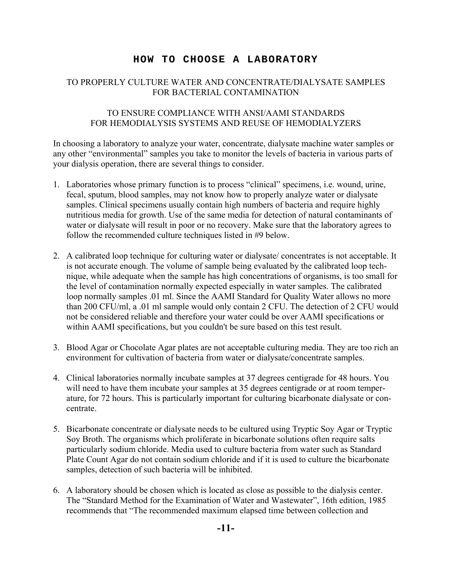# **HOW TO CHOOSE A LABORATORY**

# TO PROPERLY CULTURE WATER AND CONCENTRATE/DIALYSATE SAMPLES FOR BACTERIAL CONTAMINATION

## TO ENSURE COMPLIANCE WITH ANSI/AAMI STANDARDS FOR HEMODIALYSIS SYSTEMS AND REUSE OF HEMODIALYZERS

In choosing a laboratory to analyze your water, concentrate, dialysate machine water samples or any other "environmental" samples you take to monitor the levels of bacteria in various parts of your dialysis operation, there are several things to consider.

- 1. Laboratories whose primary function is to process "clinical" specimens, i.e. wound, urine, fecal, sputum, blood samples, may not know how to properly analyze water or dialysate samples. Clinical specimens usually contain high numbers of bacteria and require highly nutritious media for growth. Use of the same media for detection of natural contaminants of water or dialysate will result in poor or no recovery. Make sure that the laboratory agrees to follow the recommended culture techniques listed in #9 below.
- 2. A calibrated loop technique for culturing water or dialysate/ concentrates is not acceptable. It is not accurate enough. The volume of sample being evaluated by the calibrated loop technique, while adequate when the sample has high concentrations of organisms, is too small for the level of contamination normally expected especially in water samples. The calibrated loop normally samples .01 ml. Since the AAMI Standard for Quality Water allows no more than 200 CFU/ml, a .01 ml sample would only contain 2 CFU. The detection of 2 CFU would not be considered reliable and therefore your water could be over AAMI specifications or within AAMI specifications, but you couldn't be sure based on this test result.
- 3. Blood Agar or Chocolate Agar plates are not acceptable culturing media. They are too rich an environment for cultivation of bacteria from water or dialysate/concentrate samples.
- 4. Clinical laboratories normally incubate samples at 37 degrees centigrade for 48 hours. You will need to have them incubate your samples at 35 degrees centigrade or at room temperature, for 72 hours. This is particularly important for culturing bicarbonate dialysate or concentrate.
- 5. Bicarbonate concentrate or dialysate needs to be cultured using Tryptic Soy Agar or Tryptic Soy Broth. The organisms which proliferate in bicarbonate solutions often require salts particularly sodium chloride. Media used to culture bacteria from water such as Standard Plate Count Agar do not contain sodium chloride and if it is used to culture the bicarbonate samples, detection of such bacteria will be inhibited.
- 6. A laboratory should be chosen which is located as close as possible to the dialysis center. The "Standard Method for the Examination of Water and Wastewater", 16th edition, 1985 recommends that "The recommended maximum elapsed time between collection and